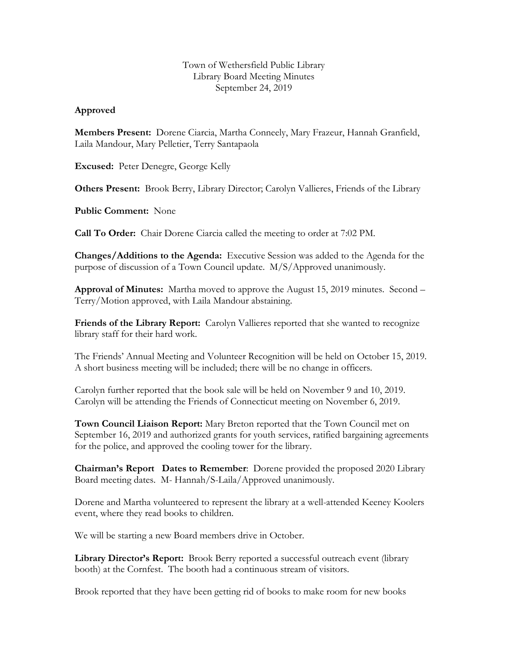## Town of Wethersfield Public Library Library Board Meeting Minutes September 24, 2019

## **Approved**

**Members Present:** Dorene Ciarcia, Martha Conneely, Mary Frazeur, Hannah Granfield, Laila Mandour, Mary Pelletier, Terry Santapaola

**Excused:** Peter Denegre, George Kelly

**Others Present:** Brook Berry, Library Director; Carolyn Vallieres, Friends of the Library

**Public Comment:** None

**Call To Order:** Chair Dorene Ciarcia called the meeting to order at 7:02 PM.

**Changes/Additions to the Agenda:** Executive Session was added to the Agenda for the purpose of discussion of a Town Council update. M/S/Approved unanimously.

**Approval of Minutes:** Martha moved to approve the August 15, 2019 minutes. Second – Terry/Motion approved, with Laila Mandour abstaining.

**Friends of the Library Report:** Carolyn Vallieres reported that she wanted to recognize library staff for their hard work.

The Friends' Annual Meeting and Volunteer Recognition will be held on October 15, 2019. A short business meeting will be included; there will be no change in officers.

Carolyn further reported that the book sale will be held on November 9 and 10, 2019. Carolyn will be attending the Friends of Connecticut meeting on November 6, 2019.

**Town Council Liaison Report:** Mary Breton reported that the Town Council met on September 16, 2019 and authorized grants for youth services, ratified bargaining agreements for the police, and approved the cooling tower for the library.

**Chairman's Report Dates to Remember**: Dorene provided the proposed 2020 Library Board meeting dates. M- Hannah/S-Laila/Approved unanimously.

Dorene and Martha volunteered to represent the library at a well-attended Keeney Koolers event, where they read books to children.

We will be starting a new Board members drive in October.

**Library Director's Report:** Brook Berry reported a successful outreach event (library booth) at the Cornfest. The booth had a continuous stream of visitors.

Brook reported that they have been getting rid of books to make room for new books